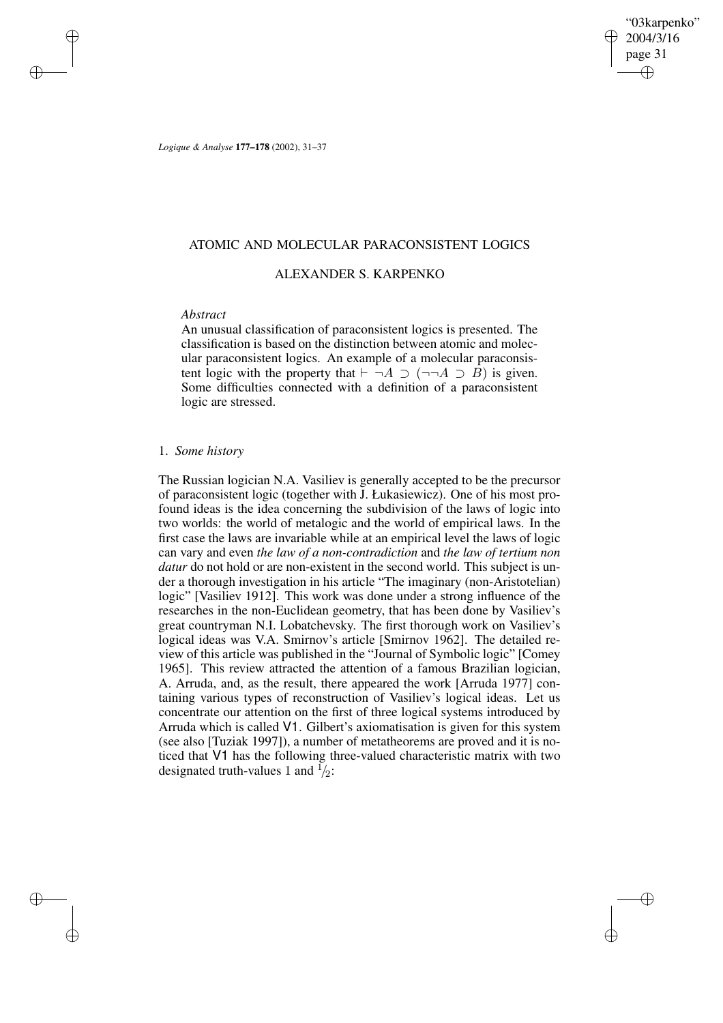"03karpenko" 2004/3/16 page 31 ✐ ✐

✐

✐

*Logique & Analyse* **177–178** (2002), 31–37

## ATOMIC AND MOLECULAR PARACONSISTENT LOGICS

## ALEXANDER S. KARPENKO

## *Abstract*

✐

✐

✐

✐

An unusual classification of paraconsistent logics is presented. The classification is based on the distinction between atomic and molecular paraconsistent logics. An example of a molecular paraconsistent logic with the property that  $\vdash \neg A \supset (\neg \neg A \supset B)$  is given. Some difficulties connected with a definition of a paraconsistent logic are stressed.

#### 1. *Some history*

The Russian logician N.A. Vasiliev is generally accepted to be the precursor of paraconsistent logic (together with J. Łukasiewicz). One of his most profound ideas is the idea concerning the subdivision of the laws of logic into two worlds: the world of metalogic and the world of empirical laws. In the first case the laws are invariable while at an empirical level the laws of logic can vary and even *the law of a non-contradiction* and *the law of tertium non datur* do not hold or are non-existent in the second world. This subject is under a thorough investigation in his article "The imaginary (non-Aristotelian) logic" [Vasiliev 1912]. This work was done under a strong influence of the researches in the non-Euclidean geometry, that has been done by Vasiliev's great countryman N.I. Lobatchevsky. The first thorough work on Vasiliev's logical ideas was V.A. Smirnov's article [Smirnov 1962]. The detailed review of this article was published in the "Journal of Symbolic logic" [Comey 1965]. This review attracted the attention of a famous Brazilian logician, A. Arruda, and, as the result, there appeared the work [Arruda 1977] containing various types of reconstruction of Vasiliev's logical ideas. Let us concentrate our attention on the first of three logical systems introduced by Arruda which is called V1. Gilbert's axiomatisation is given for this system (see also [Tuziak 1997]), a number of metatheorems are proved and it is noticed that V1 has the following three-valued characteristic matrix with two designated truth-values 1 and  $\frac{1}{2}$ :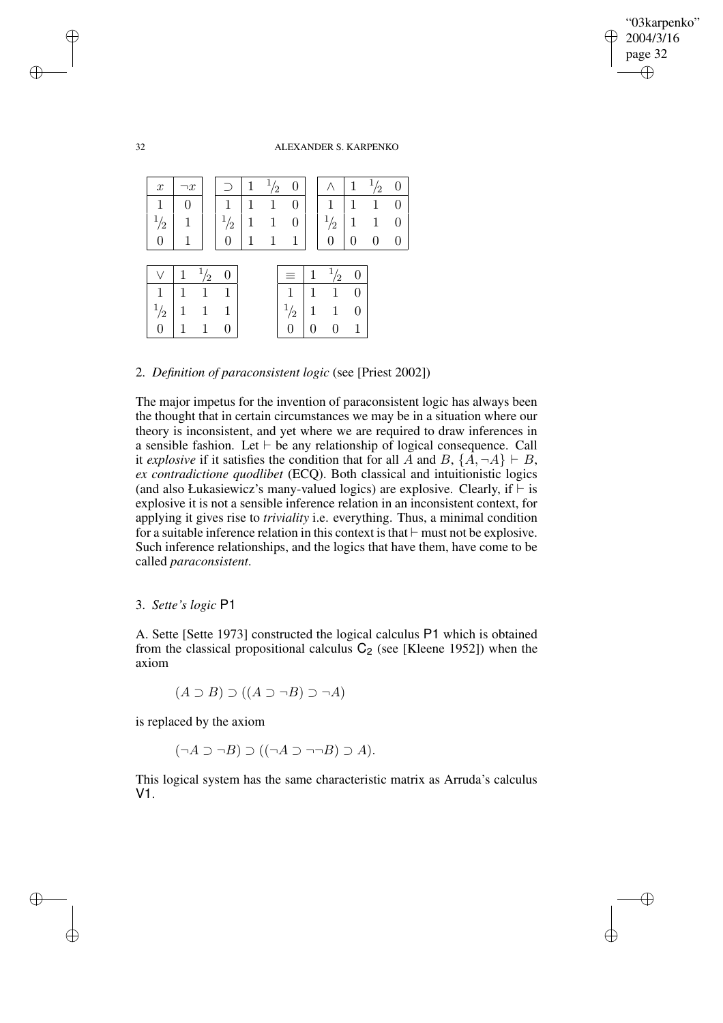✐

✐

32 ALEXANDER S. KARPENKO

| $\boldsymbol{x}$ | $\neg x$ |    | 71            | ′2 |               |   |               | $\overline{2}$ | 0        |
|------------------|----------|----|---------------|----|---------------|---|---------------|----------------|----------|
| 1                |          |    | 1             |    |               |   | 1             |                | 0        |
| $\frac{1}{2}$    |          |    | $\frac{1}{2}$ | 1  | O             |   | $\frac{1}{2}$ | 1              | 0        |
|                  | 1        |    |               | 1  | 1             |   |               |                | $\Omega$ |
|                  |          |    |               |    |               |   |               |                |          |
|                  |          | '2 |               |    | =             |   | 2             |                |          |
| 1                |          |    | 1             |    | 1             |   |               |                |          |
| $\frac{1}{2}$    | 1        |    | 1             |    | $\frac{1}{2}$ | 1 | 1             |                |          |
|                  |          |    |               |    |               |   | 0             |                |          |

2. *Definition of paraconsistent logic* (see [Priest 2002])

The major impetus for the invention of paraconsistent logic has always been the thought that in certain circumstances we may be in a situation where our theory is inconsistent, and yet where we are required to draw inferences in a sensible fashion. Let  $\vdash$  be any relationship of logical consequence. Call it *explosive* if it satisfies the condition that for all A and B,  $\{A, \neg A\} \vdash B$ , *ex contradictione quodlibet* (ECQ). Both classical and intuitionistic logics (and also Łukasiewicz's many-valued logics) are explosive. Clearly, if  $\vdash$  is explosive it is not a sensible inference relation in an inconsistent context, for applying it gives rise to *triviality* i.e. everything. Thus, a minimal condition for a suitable inference relation in this context is that  $\vdash$  must not be explosive. Such inference relationships, and the logics that have them, have come to be called *paraconsistent*.

## 3. *Sette's logic* P1

A. Sette [Sette 1973] constructed the logical calculus P1 which is obtained from the classical propositional calculus  $C_2$  (see [Kleene 1952]) when the axiom

$$
(A \supset B) \supset ((A \supset \neg B) \supset \neg A)
$$

is replaced by the axiom

$$
(\neg A \supset \neg B) \supset ((\neg A \supset \neg \neg B) \supset A).
$$

This logical system has the same characteristic matrix as Arruda's calculus V1.

✐

✐

✐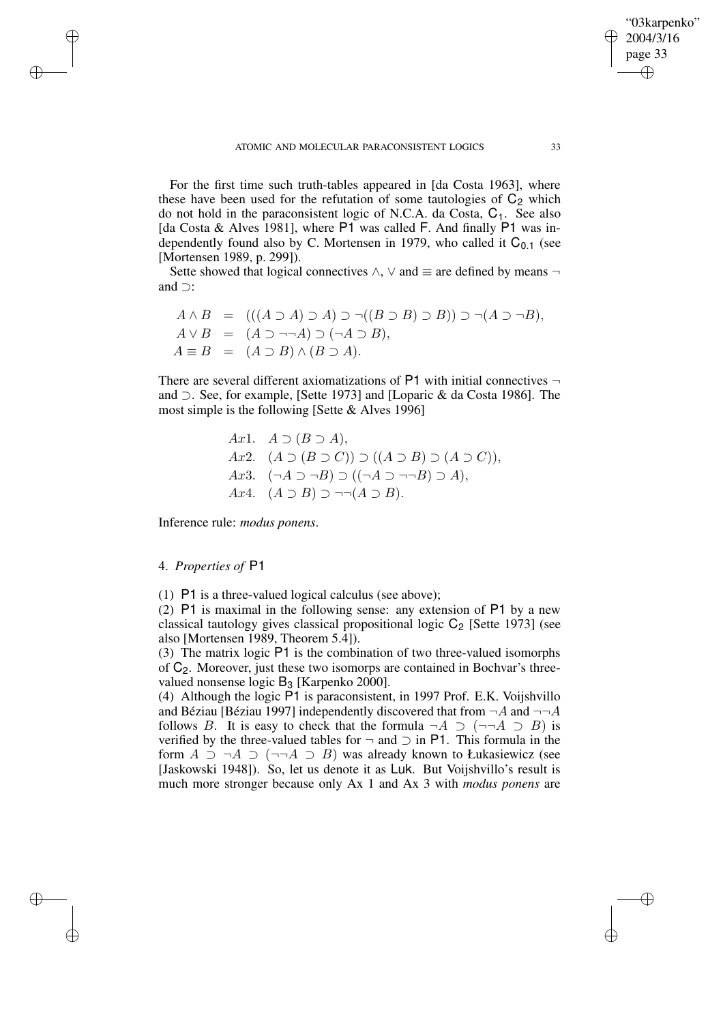For the first time such truth-tables appeared in [da Costa 1963], where these have been used for the refutation of some tautologies of  $C_2$  which do not hold in the paraconsistent logic of N.C.A. da Costa,  $C_1$ . See also [da Costa & Alves 1981], where P1 was called F. And finally P1 was independently found also by C. Mortensen in 1979, who called it  $C_{0,1}$  (see [Mortensen 1989, p. 299]).

Sette showed that logical connectives  $\land$ ,  $\lor$  and  $\equiv$  are defined by means  $\neg$ and ⊃:

$$
A \wedge B = (((A \supset A) \supset A) \supset \neg ((B \supset B) \supset B)) \supset \neg (A \supset \neg B),
$$
  
\n
$$
A \vee B = (A \supset \neg \neg A) \supset (\neg A \supset B),
$$
  
\n
$$
A \equiv B = (A \supset B) \wedge (B \supset A).
$$

There are several different axiomatizations of  $P1$  with initial connectives  $\neg$ and ⊃. See, for example, [Sette 1973] and [Loparic & da Costa 1986]. The most simple is the following [Sette & Alves 1996]

\n
$$
Ax1. \quad A \supset (B \supset A),
$$
\n

\n\n $Ax2. \quad (A \supset (B \supset C)) \supset ((A \supset B) \supset (A \supset C)),$ \n

\n\n $Ax3. \quad (\neg A \supset \neg B) \supset ((\neg A \supset \neg \neg B) \supset A),$ \n

\n\n $Ax4. \quad (A \supset B) \supset \neg \neg (A \supset B).$ \n

Inference rule: *modus ponens*.

### 4. *Properties of* P1

✐

✐

✐

✐

(1) P1 is a three-valued logical calculus (see above);

(2) P1 is maximal in the following sense: any extension of P1 by a new classical tautology gives classical propositional logic  $C_2$  [Sette 1973] (see also [Mortensen 1989, Theorem 5.4]).

(3) The matrix logic P1 is the combination of two three-valued isomorphs of  $C_2$ . Moreover, just these two isomorps are contained in Bochvar's threevalued nonsense logic  $B_3$  [Karpenko 2000].

(4) Although the logic P1 is paraconsistent, in 1997 Prof. E.K. Voijshvillo and Béziau [Béziau 1997] independently discovered that from  $\neg A$  and  $\neg\neg A$ follows B. It is easy to check that the formula  $\neg A \supset (\neg\neg A \supset B)$  is verified by the three-valued tables for  $\neg$  and  $\supset$  in P1. This formula in the form  $A \supset \neg A \supset (\neg \neg A \supset B)$  was already known to Łukasiewicz (see [Jaskowski 1948]). So, let us denote it as Luk. But Voijshvillo's result is much more stronger because only Ax 1 and Ax 3 with *modus ponens* are

"03karpenko" 2004/3/16 page 33

✐

✐

✐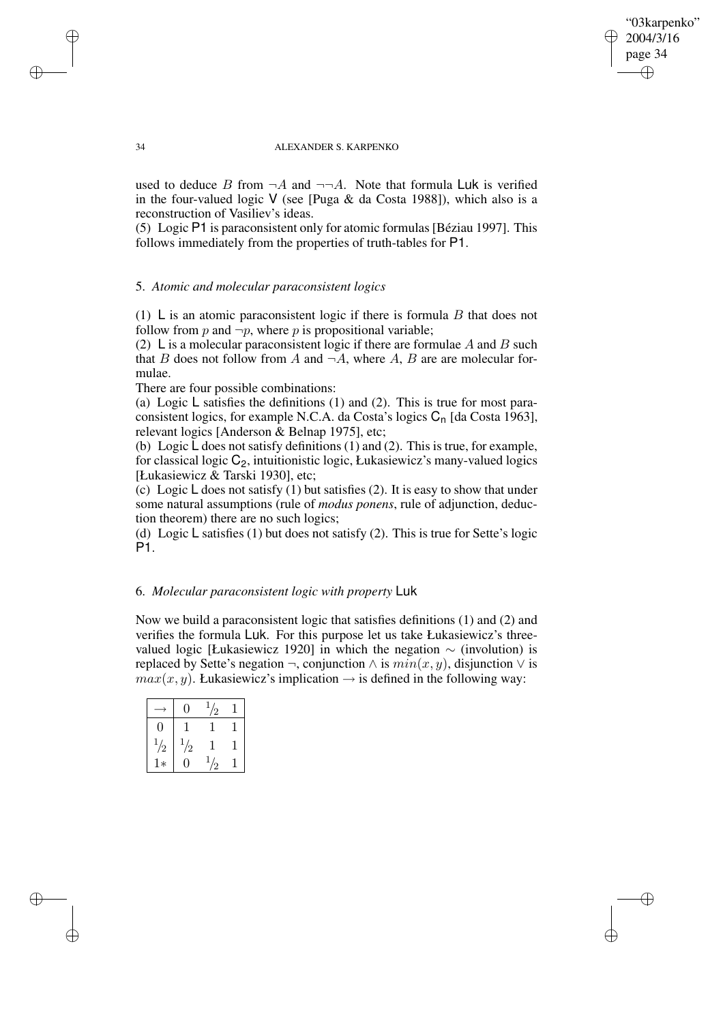### "03karpenko" 2004/3/16 page 34 ✐ ✐

✐

✐

#### 34 ALEXANDER S. KARPENKO

used to deduce B from  $\neg A$  and  $\neg \neg A$ . Note that formula Luk is verified in the four-valued logic V (see [Puga & da Costa 1988]), which also is a reconstruction of Vasiliev's ideas.

(5) Logic P1 is paraconsistent only for atomic formulas[Béziau 1997]. This follows immediately from the properties of truth-tables for P1.

## 5. *Atomic and molecular paraconsistent logics*

(1) L is an atomic paraconsistent logic if there is formula  $B$  that does not follow from p and  $\neg p$ , where p is propositional variable;

(2) L is a molecular paraconsistent logic if there are formulae A and B such that B does not follow from A and  $\neg A$ , where A, B are are molecular formulae.

There are four possible combinations:

(a) Logic L satisfies the definitions (1) and (2). This is true for most paraconsistent logics, for example N.C.A. da Costa's logics  $C_n$  [da Costa 1963], relevant logics [Anderson & Belnap 1975], etc;

(b) Logic L does not satisfy definitions (1) and (2). This is true, for example, for classical logic  $C_2$ , intuitionistic logic, Łukasiewicz's many-valued logics [Łukasiewicz & Tarski 1930], etc;

(c) Logic  $\mathsf L$  does not satisfy (1) but satisfies (2). It is easy to show that under some natural assumptions (rule of *modus ponens*, rule of adjunction, deduction theorem) there are no such logics;

(d) Logic L satisfies (1) but does not satisfy (2). This is true for Sette's logic P1.

## 6. *Molecular paraconsistent logic with property* Luk

Now we build a paraconsistent logic that satisfies definitions (1) and (2) and verifies the formula Luk. For this purpose let us take Łukasiewicz's threevalued logic [Łukasiewicz 1920] in which the negation  $\sim$  (involution) is replaced by Sette's negation  $\neg$ , conjunction  $\land$  is  $min(x, y)$ , disjunction  $\lor$  is  $max(x, y)$ . Łukasiewicz's implication  $\rightarrow$  is defined in the following way:

|          |               | ∕ |  |
|----------|---------------|---|--|
| 0        |               |   |  |
| ÷.<br>/2 | $\frac{1}{2}$ |   |  |
| ∗        |               |   |  |

✐

✐

✐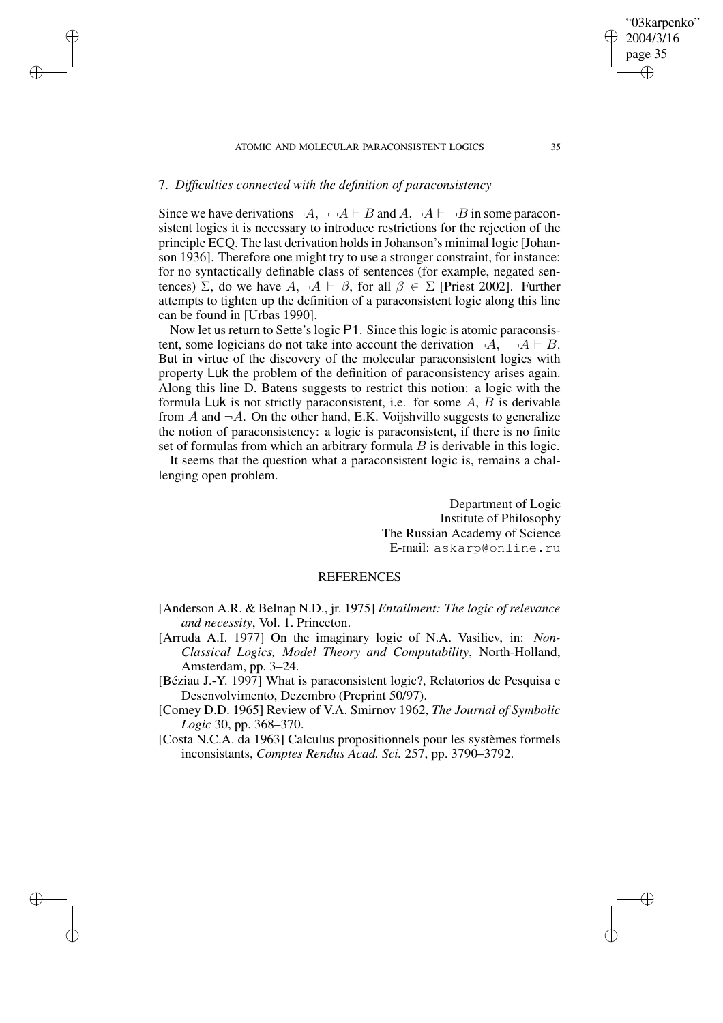#### ATOMIC AND MOLECULAR PARACONSISTENT LOGICS 35

# 7. *Difficulties connected with the definition of paraconsistency*

✐

✐

✐

✐

Since we have derivations  $\neg A$ ,  $\neg\neg A \vdash B$  and  $A$ ,  $\neg A \vdash \neg B$  in some paraconsistent logics it is necessary to introduce restrictions for the rejection of the principle ECQ. The last derivation holdsin Johanson's minimal logic [Johanson 1936]. Therefore one might try to use a stronger constraint, for instance: for no syntactically definable class of sentences (for example, negated sentences) Σ, do we have  $A, \neg A \vdash \beta$ , for all  $\beta \in \Sigma$  [Priest 2002]. Further attempts to tighten up the definition of a paraconsistent logic along this line can be found in [Urbas 1990].

Now let us return to Sette's logic P1. Since this logic is atomic paraconsistent, some logicians do not take into account the derivation  $\neg A$ ,  $\neg\neg A \vdash B$ . But in virtue of the discovery of the molecular paraconsistent logics with property Luk the problem of the definition of paraconsistency arises again. Along this line D. Batens suggests to restrict this notion: a logic with the formula Luk is not strictly paraconsistent, i.e. for some  $A$ ,  $B$  is derivable from  $A$  and  $\neg A$ . On the other hand, E.K. Voijshvillo suggests to generalize the notion of paraconsistency: a logic is paraconsistent, if there is no finite set of formulas from which an arbitrary formula  $B$  is derivable in this logic.

It seems that the question what a paraconsistent logic is, remains a challenging open problem.

> Department of Logic Institute of Philosophy The Russian Academy of Science E-mail: askarp@online.ru

## REFERENCES

- [Anderson A.R. & Belnap N.D., jr. 1975] *Entailment: The logic of relevance and necessity*, Vol. 1. Princeton.
- [Arruda A.I. 1977] On the imaginary logic of N.A. Vasiliev, in: *Non-Classical Logics, Model Theory and Computability*, North-Holland, Amsterdam, pp. 3–24.
- [Béziau J.-Y. 1997] What is paraconsistent logic?, Relatorios de Pesquisa e Desenvolvimento, Dezembro (Preprint 50/97).
- [Comey D.D. 1965] Review of V.A. Smirnov 1962, *The Journal of Symbolic Logic* 30, pp. 368–370.
- [Costa N.C.A. da 1963] Calculus propositionnels pour les systèmes formels inconsistants, *Comptes Rendus Acad. Sci.* 257, pp. 3790–3792.

"03karpenko" 2004/3/16 page 35

✐

✐

✐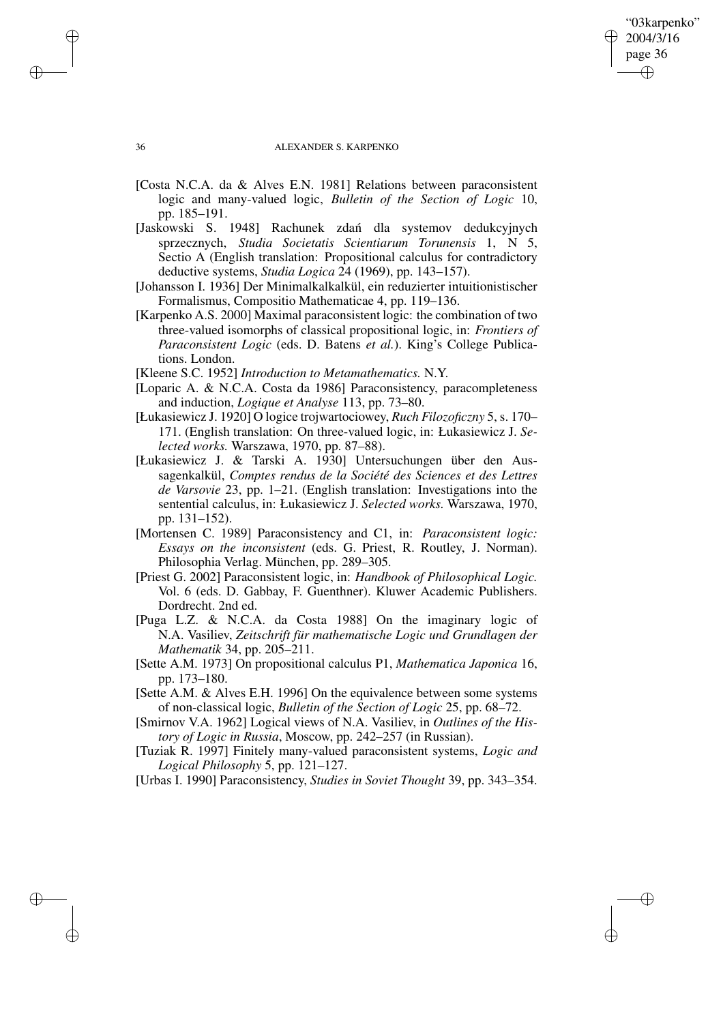### "03karpenko" 2004/3/16 page 36 ✐ ✐

✐

✐

#### 36 ALEXANDER S. KARPENKO

- [Costa N.C.A. da & Alves E.N. 1981] Relations between paraconsistent logic and many-valued logic, *Bulletin of the Section of Logic* 10, pp. 185–191.
- [Jaskowski S. 1948] Rachunek zdan´ dla systemov dedukcyjnych sprzecznych, *Studia Societatis Scientiarum Torunensis* 1, N 5, Sectio A (English translation: Propositional calculus for contradictory deductive systems, *Studia Logica* 24 (1969), pp. 143–157).
- [Johansson I. 1936] Der Minimalkalkalkül, ein reduzierter intuitionistischer Formalismus, Compositio Mathematicae 4, pp. 119–136.
- [Karpenko A.S. 2000] Maximal paraconsistent logic: the combination of two three-valued isomorphs of classical propositional logic, in: *Frontiers of Paraconsistent Logic* (eds. D. Batens *et al.*). King's College Publications. London.
- [Kleene S.C. 1952] *Introduction to Metamathematics.* N.Y.
- [Loparic A. & N.C.A. Costa da 1986] Paraconsistency, paracompleteness and induction, *Logique et Analyse* 113, pp. 73–80.
- [Łukasiewicz J. 1920] O logice trojwartociowey, *Ruch Filozoficzny* 5, s. 170– 171. (English translation: On three-valued logic, in: Łukasiewicz J. *Selected works.* Warszawa, 1970, pp. 87–88).
- [Łukasiewicz J. & Tarski A. 1930] Untersuchungen über den Aussagenkalkül, *Comptes rendus de la Société des Sciences et des Lettres de Varsovie* 23, pp. 1–21. (English translation: Investigations into the sentential calculus, in: Łukasiewicz J. *Selected works.* Warszawa, 1970, pp. 131–152).
- [Mortensen C. 1989] Paraconsistency and C1, in: *Paraconsistent logic: Essays on the inconsistent* (eds. G. Priest, R. Routley, J. Norman). Philosophia Verlag. München, pp. 289–305.
- [Priest G. 2002] Paraconsistent logic, in: *Handbook of Philosophical Logic.* Vol. 6 (eds. D. Gabbay, F. Guenthner). Kluwer Academic Publishers. Dordrecht. 2nd ed.
- [Puga L.Z. & N.C.A. da Costa 1988] On the imaginary logic of N.A. Vasiliev, *Zeitschrift für mathematische Logic und Grundlagen der Mathematik* 34, pp. 205–211.
- [Sette A.M. 1973] On propositional calculus P1, *Mathematica Japonica* 16, pp. 173–180.
- [Sette A.M. & Alves E.H. 1996] On the equivalence between some systems of non-classical logic, *Bulletin of the Section of Logic* 25, pp. 68–72.
- [Smirnov V.A. 1962] Logical views of N.A. Vasiliev, in *Outlines of the History of Logic in Russia*, Moscow, pp. 242–257 (in Russian).
- [Tuziak R. 1997] Finitely many-valued paraconsistent systems, *Logic and Logical Philosophy* 5, pp. 121–127.

[Urbas I. 1990] Paraconsistency, *Studies in Soviet Thought* 39, pp. 343–354.

✐

✐

✐